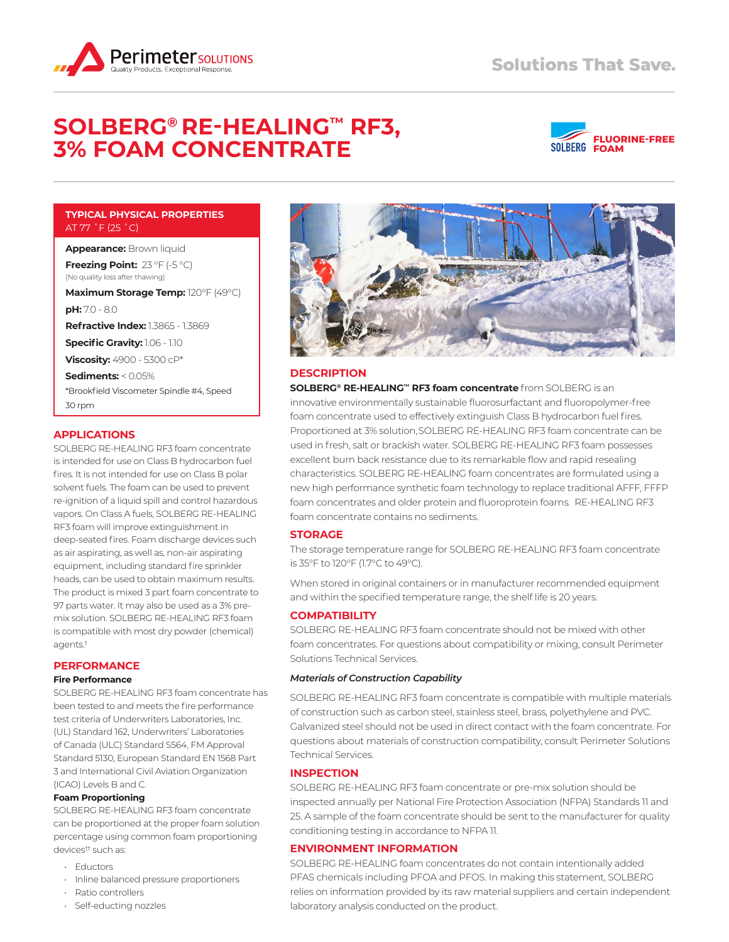

# **SOLBERG® RE‑HEALING™ RF3, 3% FOAM CONCENTRATE**



## **TYPICAL PHYSICAL PROPERTIES**  AT 77 ˚F (25 ˚C)

**Appearance:** Brown liquid

**Freezing Point:** 23 °F (-5 °C) (No quality loss after thawing)

**Maximum Storage Temp:** 120°F (49°C) **pH:** 7.0 - 8.0

**Refractive Index:** 1.3865 - 1.3869

**Specific Gravity:** 1.06 - 1.10

**Viscosity:** 4900 - 5300 cP\*

**Sediments:** < 0.05% \*Brookfield Viscometer Spindle #4, Speed 30 rpm

## **APPLICATIONS**

SOLBERG RE-HEALING RF3 foam concentrate is intended for use on Class B hydrocarbon fuel fires. It is not intended for use on Class B polar solvent fuels. The foam can be used to prevent re-ignition of a liquid spill and control hazardous vapors. On Class A fuels, SOLBERG RE-HEALING RF3 foam will improve extinguishment in deep-seated fires. Foam discharge devices such as air aspirating, as well as, non-air aspirating equipment, including standard fire sprinkler heads, can be used to obtain maximum results. The product is mixed 3 part foam concentrate to 97 parts water. It may also be used as a 3% premix solution. SOLBERG RE-HEALING RF3 foam is compatible with most dry powder (chemical) agents.†

## **PERFORMANCE**

#### **Fire Performance**

SOLBERG RE-HEALING RF3 foam concentrate has been tested to and meets the fire performance test criteria of Underwriters Laboratories, Inc. (UL) Standard 162, Underwriters' Laboratories of Canada (ULC) Standard S564, FM Approval Standard 5130, European Standard EN 1568 Part 3 and International Civil Aviation Organization (ICAO) Levels B and C.

#### **Foam Proportioning**

SOLBERG RE-HEALING RF3 foam concentrate can be proportioned at the proper foam solution percentage using common foam proportioning devices†† such as:

- Eductors
- Inline balanced pressure proportioners
- Ratio controllers
- Self-educting nozzles



## **DESCRIPTION**

**SOLBERG® RE‑HEALING™ RF3 foam concentrate** from SOLBERG is an innovative environmentally sustainable fluorosurfactant and fluoropolymer-free foam concentrate used to effectively extinguish Class B hydrocarbon fuel fires. Proportioned at 3% solution, SOLBERG RE-HEALING RF3 foam concentrate can be used in fresh, salt or brackish water. SOLBERG RE-HEALING RF3 foam possesses excellent burn back resistance due to its remarkable flow and rapid resealing characteristics. SOLBERG RE-HEALING foam concentrates are formulated using a new high performance synthetic foam technology to replace traditional AFFF, FFFP foam concentrates and older protein and fluoroprotein foams. RE-HEALING RF3 foam concentrate contains no sediments.

## **STORAGE**

The storage temperature range for SOLBERG RE-HEALING RF3 foam concentrate is 35°F to 120°F (1.7°C to 49°C).

When stored in original containers or in manufacturer recommended equipment and within the specified temperature range, the shelf life is 20 years.

## **COMPATIBILITY**

SOLBERG RE-HEALING RF3 foam concentrate should not be mixed with other foam concentrates. For questions about compatibility or mixing, consult Perimeter Solutions Technical Services.

## *Materials of Construction Capability*

SOLBERG RE-HEALING RF3 foam concentrate is compatible with multiple materials of construction such as carbon steel, stainless steel, brass, polyethylene and PVC. Galvanized steel should not be used in direct contact with the foam concentrate. For questions about materials of construction compatibility, consult Perimeter Solutions Technical Services.

## **INSPECTION**

SOLBERG RE-HEALING RF3 foam concentrate or pre-mix solution should be inspected annually per National Fire Protection Association (NFPA) Standards 11 and 25. A sample of the foam concentrate should be sent to the manufacturer for quality conditioning testing in accordance to NFPA 11.

## **ENVIRONMENT INFORMATION**

SOLBERG RE-HEALING foam concentrates do not contain intentionally added PFAS chemicals including PFOA and PFOS. In making this statement, SOLBERG relies on information provided by its raw material suppliers and certain independent laboratory analysis conducted on the product.